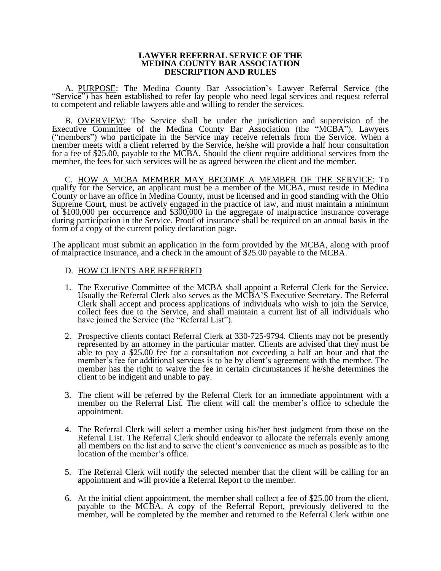## **LAWYER REFERRAL SERVICE OF THE MEDINA COUNTY BAR ASSOCIATION DESCRIPTION AND RULES**

A. PURPOSE: The Medina County Bar Association's Lawyer Referral Service (the "Service") has been established to refer lay people who need legal services and request referral to competent and reliable lawyers able and willing to render the services.

B. **OVERVIEW:** The Service shall be under the jurisdiction and supervision of the Executive Committee of the Medina County Bar Association (the "MCBA"). Lawyers ("members") who participate in the Service may receive referrals from the Service. When a member meets with a client referred by the Service, he/she will provide a half hour consultation for a fee of \$25.00, payable to the MCBA. Should the client require additional services from the member, the fees for such services will be as agreed between the client and the member.

C. HOW A MCBA MEMBER MAY BECOME A MEMBER OF THE SERVICE: To qualify for the Service, an applicant must be a member of the MCBA, must reside in Medina County or have an office in Medina County, must be licensed and in good standing with the Ohio Supreme Court, must be actively engaged in the practice of law, and must maintain a minimum of \$100,000 per occurrence and \$300,000 in the aggregate of malpractice insurance coverage during participation in the Service. Proof of insurance shall be required on an annual basis in the form of a copy of the current policy declaration page.

The applicant must submit an application in the form provided by the MCBA, along with proof of malpractice insurance, and a check in the amount of \$25.00 payable to the MCBA.

## D. HOW CLIENTS ARE REFERRED

- 1. The Executive Committee of the MCBA shall appoint a Referral Clerk for the Service. Usually the Referral Clerk also serves as the MCBA'S Executive Secretary. The Referral Clerk shall accept and process applications of individuals who wish to join the Service, collect fees due to the Service, and shall maintain a current list of all individuals who have joined the Service (the "Referral List").
- 2. Prospective clients contact Referral Clerk at 330-725-9794. Clients may not be presently represented by an attorney in the particular matter. Clients are advised that they must be able to pay a \$25.00 fee for a consultation not exceeding a half an hour and that the member's fee for additional services is to be by client's agreement with the member. The member has the right to waive the fee in certain circumstances if he/she determines the client to be indigent and unable to pay.
- 3. The client will be referred by the Referral Clerk for an immediate appointment with a member on the Referral List. The client will call the member's office to schedule the appointment.
- 4. The Referral Clerk will select a member using his/her best judgment from those on the Referral List. The Referral Clerk should endeavor to allocate the referrals evenly among all members on the list and to serve the client's convenience as much as possible as to the location of the member's office.
- 5. The Referral Clerk will notify the selected member that the client will be calling for an appointment and will provide a Referral Report to the member.
- 6. At the initial client appointment, the member shall collect a fee of \$25.00 from the client, payable to the MCBA. A copy of the Referral Report, previously delivered to the member, will be completed by the member and returned to the Referral Clerk within one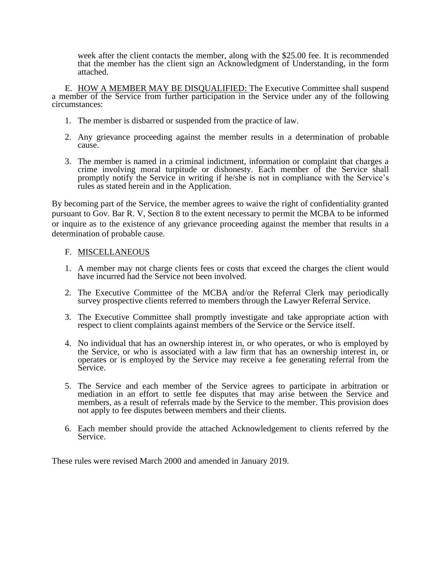week after the client contacts the member, along with the \$25.00 fee. It is recommended that the member has the client sign an Acknowledgment of Understanding, in the form attached.

E. HOW A MEMBER MAY BE DISQUALIFIED: The Executive Committee shall suspend a member of the Service from further participation in the Service under any of the following circumstances:

- 1. The member is disbarred or suspended from the practice of law.
- 2. Any grievance proceeding against the member results in a determination of probable cause.
- 3. The member is named in a criminal indictment, information or complaint that charges a crime involving moral turpitude or dishonesty. Each member of the Service shall promptly notify the Service in writing if he/she is not in compliance with the Service's rules as stated herein and in the Application.

By becoming part of the Service, the member agrees to waive the right of confidentiality granted pursuant to Gov. Bar R. V, Section 8 to the extent necessary to permit the MCBA to be informed or inquire as to the existence of any grievance proceeding against the member that results in a determination of probable cause.

## F. MISCELLANEOUS

- 1. A member may not charge clients fees or costs that exceed the charges the client would have incurred had the Service not been involved.
- 2. The Executive Committee of the MCBA and/or the Referral Clerk may periodically survey prospective clients referred to members through the Lawyer Referral Service.
- 3. The Executive Committee shall promptly investigate and take appropriate action with respect to client complaints against members of the Service or the Service itself.
- 4. No individual that has an ownership interest in, or who operates, or who is employed by the Service, or who is associated with a law firm that has an ownership interest in, or operates or is employed by the Service may receive a fee generating referral from the Service.
- 5. The Service and each member of the Service agrees to participate in arbitration or mediation in an effort to settle fee disputes that may arise between the Service and members, as a result of referrals made by the Service to the member. This provision does not apply to fee disputes between members and their clients.
- 6. Each member should provide the attached Acknowledgement to clients referred by the Service.

These rules were revised March 2000 and amended in January 2019.